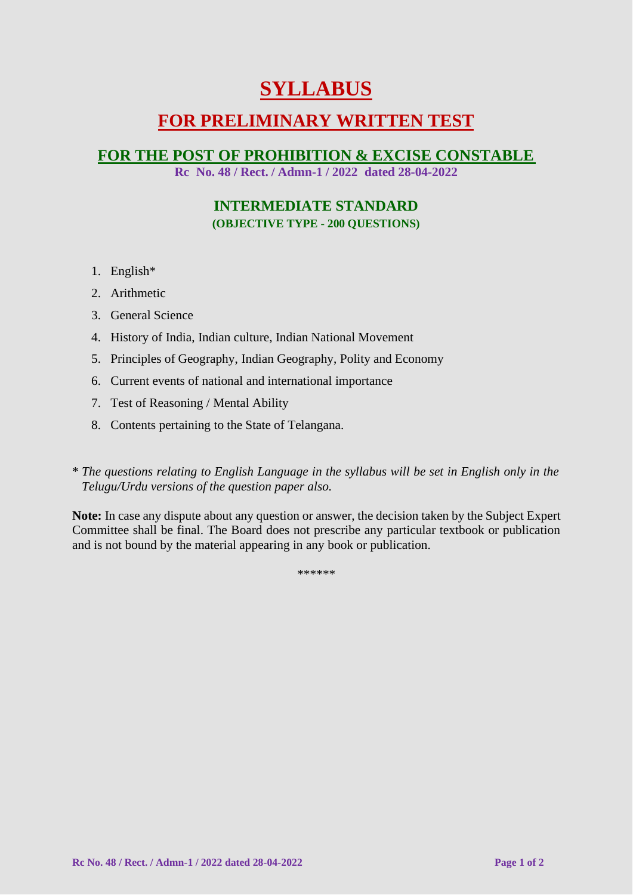# **SYLLABUS**

## **FOR PRELIMINARY WRITTEN TEST**

### **FOR THE POST OF PROHIBITION & EXCISE CONSTABLE**

**Rc No. 48 / Rect. / Admn-1 / 2022 dated 28-04-2022**

### **INTERMEDIATE STANDARD (OBJECTIVE TYPE - 200 QUESTIONS)**

- 1. English\*
- 2. Arithmetic
- 3. General Science
- 4. History of India, Indian culture, Indian National Movement
- 5. Principles of Geography, Indian Geography, Polity and Economy
- 6. Current events of national and international importance
- 7. Test of Reasoning / Mental Ability
- 8. Contents pertaining to the State of Telangana.
- \* *The questions relating to English Language in the syllabus will be set in English only in the Telugu/Urdu versions of the question paper also.*

**Note:** In case any dispute about any question or answer, the decision taken by the Subject Expert Committee shall be final. The Board does not prescribe any particular textbook or publication and is not bound by the material appearing in any book or publication.

\*\*\*\*\*\*